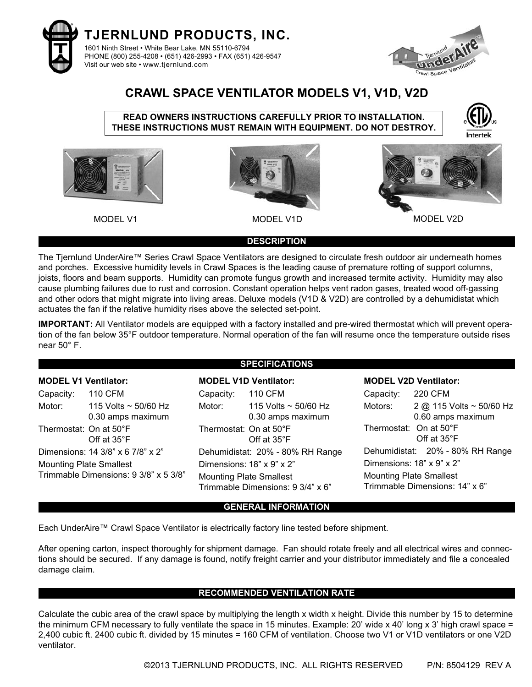



## **CRAWL SPACE VENTILATOR MODELS V1, V1D, V2D**

**READ OWNERS INSTRUCTIONS CAREFULLY PRIOR TO INSTALLATION. THESE INSTRUCTIONS MUST REMAIN WITH EQUIPMENT. DO NOT DESTROY.**









MODEL V1 MODEL V1D MODEL V2D MODEL V2D

### **DESCRIPTION**

The Tjernlund UnderAire™ Series Crawl Space Ventilators are designed to circulate fresh outdoor air underneath homes and porches. Excessive humidity levels in Crawl Spaces is the leading cause of premature rotting of support columns, joists, floors and beam supports. Humidity can promote fungus growth and increased termite activity. Humidity may also cause plumbing failures due to rust and corrosion. Constant operation helps vent radon gases, treated wood off-gassing and other odors that might migrate into living areas. Deluxe models (V1D & V2D) are controlled by a dehumidistat which actuates the fan if the relative humidity rises above the selected set-point.

**IMPORTANT:** All Ventilator models are equipped with a factory installed and pre-wired thermostat which will prevent operation of the fan below 35°F outdoor temperature. Normal operation of the fan will resume once the temperature outside rises near 50° F.

### **MODEL V1 Ventilator:**

Capacity: 110 CFM Motor: 115 Volts ~ 50/60 Hz 0.30 amps maximum Thermostat: On at 50°F Off at 35°F Dimensions: 14 3/8" x 6 7/8" x 2" Mounting Plate Smallest Trimmable Dimensions: 9 3/8" x 5 3/8"

## **SPECIFICATIONS**

### **MODEL V1D Ventilator:**

Capacity: 110 CFM Motor: 115 Volts ~ 50/60 Hz 0.30 amps maximum Thermostat: On at 50°F Off at 35°F Dehumidistat: 20% - 80% RH Range Dimensions: 18" x 9" x 2" Mounting Plate Smallest Trimmable Dimensions: 9 3/4" x 6"

#### **MODEL V2D Ventilator:**

Capacity: 220 CFM Motors: 2 @ 115 Volts ~ 50/60 Hz 0.60 amps maximum Thermostat: On at 50°F Off at 35°F Dehumidistat: 20% - 80% RH Range Dimensions: 18" x 9" x 2" Mounting Plate Smallest Trimmable Dimensions: 14" x 6"

### **GENERAL INFORMATION**

Each UnderAire™ Crawl Space Ventilator is electrically factory line tested before shipment.

After opening carton, inspect thoroughly for shipment damage. Fan should rotate freely and all electrical wires and connections should be secured. If any damage is found, notify freight carrier and your distributor immediately and file a concealed damage claim.

### **RECOMMENDED VENTILATION RATE**

Calculate the cubic area of the crawl space by multiplying the length x width x height. Divide this number by 15 to determine the minimum CFM necessary to fully ventilate the space in 15 minutes. Example: 20' wide x 40' long x 3' high crawl space = 2,400 cubic ft. 2400 cubic ft. divided by 15 minutes = 160 CFM of ventilation. Choose two V1 or V1D ventilators or one V2D ventilator.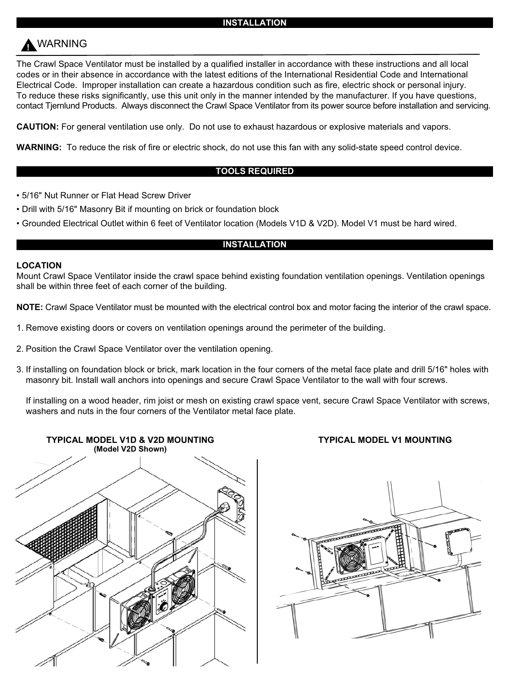#### **INSTALLATION**

# **!** WARNING

The Crawl Space Ventilator must be installed by a qualified installer in accordance with these instructions and all local codes or in their absence in accordance with the latest editions of the International Residential Code and International Electrical Code. Improper installation can create a hazardous condition such as fire, electric shock or personal injury. To reduce these risks significantly, use this unit only in the manner intended by the manufacturer. If you have questions, contact Tjernlund Products. Always disconnect the Crawl Space Ventilator from its power source before installation and servicing.

**CAUTION:** For general ventilation use only. Do not use to exhaust hazardous or explosive materials and vapors.

**WARNING:** To reduce the risk of fire or electric shock, do not use this fan with any solid-state speed control device.

#### **TOOLS REQUIRED**

- 5/16" Nut Runner or Flat Head Screw Driver
- Drill with 5/16" Masonry Bit if mounting on brick or foundation block
- Grounded Electrical Outlet within 6 feet of Ventilator location (Models V1D & V2D). Model V1 must be hard wired.

#### **INSTALLATION**

#### **LOCATION**

Mount Crawl Space Ventilator inside the crawl space behind existing foundation ventilation openings. Ventilation openings shall be within three feet of each corner of the building.

**NOTE:** Crawl Space Ventilator must be mounted with the electrical control box and motor facing the interior of the crawl space.

- 1. Remove existing doors or covers on ventilation openings around the perimeter of the building.
- 2. Position the Crawl Space Ventilator over the ventilation opening.
- 3. If installing on foundation block or brick, mark location in the four corners of the metal face plate and drill 5/16" holes with masonry bit. Install wall anchors into openings and secure Crawl Space Ventilator to the wall with four screws.

If installing on a wood header, rim joist or mesh on existing crawl space vent, secure Crawl Space Ventilator with screws, washers and nuts in the four corners of the Ventilator metal face plate.



#### **TYPICAL MODEL V1 MOUNTING**

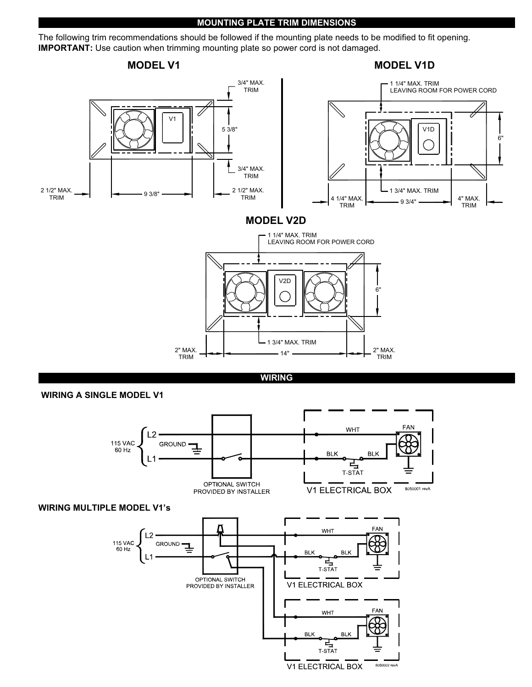#### **MOUNTING PLATE TRIM DIMENSIONS**

The following trim recommendations should be followed if the mounting plate needs to be modified to fit opening. **IMPORTANT:** Use caution when trimming mounting plate so power cord is not damaged.



**WIRING** 

#### **WIRING A SINGLE MODEL V1**



#### **WIRING MULTIPLE MODEL V1's**